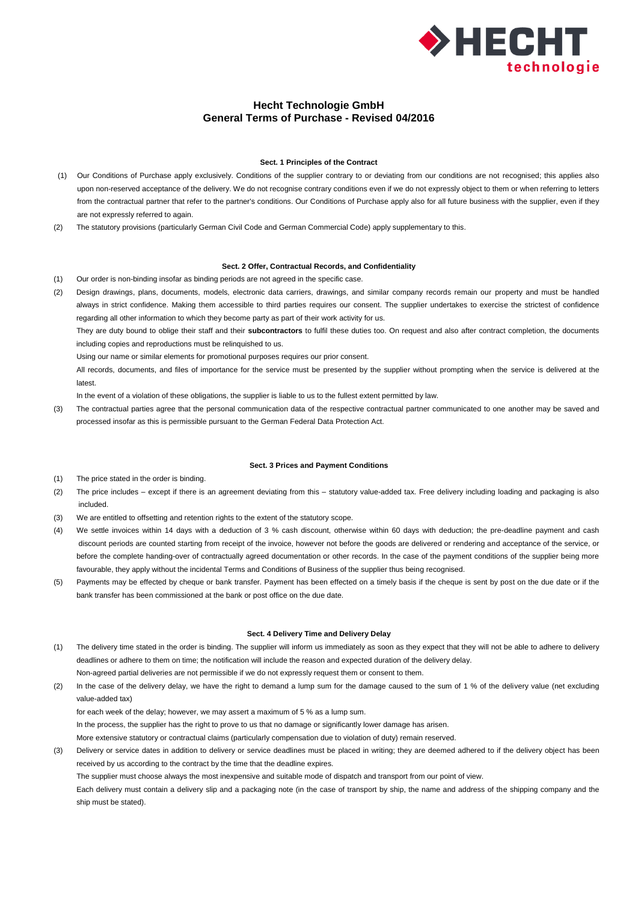

# **Hecht Technologie GmbH General Terms of Purchase - Revised 04/2016**

## **Sect. 1 Principles of the Contract**

- (1) Our Conditions of Purchase apply exclusively. Conditions of the supplier contrary to or deviating from our conditions are not recognised; this applies also upon non-reserved acceptance of the delivery. We do not recognise contrary conditions even if we do not expressly object to them or when referring to letters from the contractual partner that refer to the partner's conditions. Our Conditions of Purchase apply also for all future business with the supplier, even if they are not expressly referred to again.
- (2) The statutory provisions (particularly German Civil Code and German Commercial Code) apply supplementary to this.

# **Sect. 2 Offer, Contractual Records, and Confidentiality**

- (1) Our order is non-binding insofar as binding periods are not agreed in the specific case.
- (2) Design drawings, plans, documents, models, electronic data carriers, drawings, and similar company records remain our property and must be handled always in strict confidence. Making them accessible to third parties requires our consent. The supplier undertakes to exercise the strictest of confidence regarding all other information to which they become party as part of their work activity for us.

They are duty bound to oblige their staff and their **subcontractors** to fulfil these duties too. On request and also after contract completion, the documents including copies and reproductions must be relinquished to us.

Using our name or similar elements for promotional purposes requires our prior consent.

All records, documents, and files of importance for the service must be presented by the supplier without prompting when the service is delivered at the latest.

In the event of a violation of these obligations, the supplier is liable to us to the fullest extent permitted by law.

(3) The contractual parties agree that the personal communication data of the respective contractual partner communicated to one another may be saved and processed insofar as this is permissible pursuant to the German Federal Data Protection Act.

## **Sect. 3 Prices and Payment Conditions**

- (1) The price stated in the order is binding.
- (2) The price includes except if there is an agreement deviating from this statutory value-added tax. Free delivery including loading and packaging is also included.
- (3) We are entitled to offsetting and retention rights to the extent of the statutory scope.
- (4) We settle invoices within 14 days with a deduction of 3 % cash discount, otherwise within 60 days with deduction; the pre-deadline payment and cash discount periods are counted starting from receipt of the invoice, however not before the goods are delivered or rendering and acceptance of the service, or before the complete handing-over of contractually agreed documentation or other records. In the case of the payment conditions of the supplier being more favourable, they apply without the incidental Terms and Conditions of Business of the supplier thus being recognised.
- (5) Payments may be effected by cheque or bank transfer. Payment has been effected on a timely basis if the cheque is sent by post on the due date or if the bank transfer has been commissioned at the bank or post office on the due date.

#### **Sect. 4 Delivery Time and Delivery Delay**

- (1) The delivery time stated in the order is binding. The supplier will inform us immediately as soon as they expect that they will not be able to adhere to delivery deadlines or adhere to them on time; the notification will include the reason and expected duration of the delivery delay. Non-agreed partial deliveries are not permissible if we do not expressly request them or consent to them.
- (2) In the case of the delivery delay, we have the right to demand a lump sum for the damage caused to the sum of 1 % of the delivery value (net excluding value-added tax)

for each week of the delay; however, we may assert a maximum of 5 % as a lump sum.

In the process, the supplier has the right to prove to us that no damage or significantly lower damage has arisen.

More extensive statutory or contractual claims (particularly compensation due to violation of duty) remain reserved.

(3) Delivery or service dates in addition to delivery or service deadlines must be placed in writing; they are deemed adhered to if the delivery object has been received by us according to the contract by the time that the deadline expires.

The supplier must choose always the most inexpensive and suitable mode of dispatch and transport from our point of view.

Each delivery must contain a delivery slip and a packaging note (in the case of transport by ship, the name and address of the shipping company and the ship must be stated).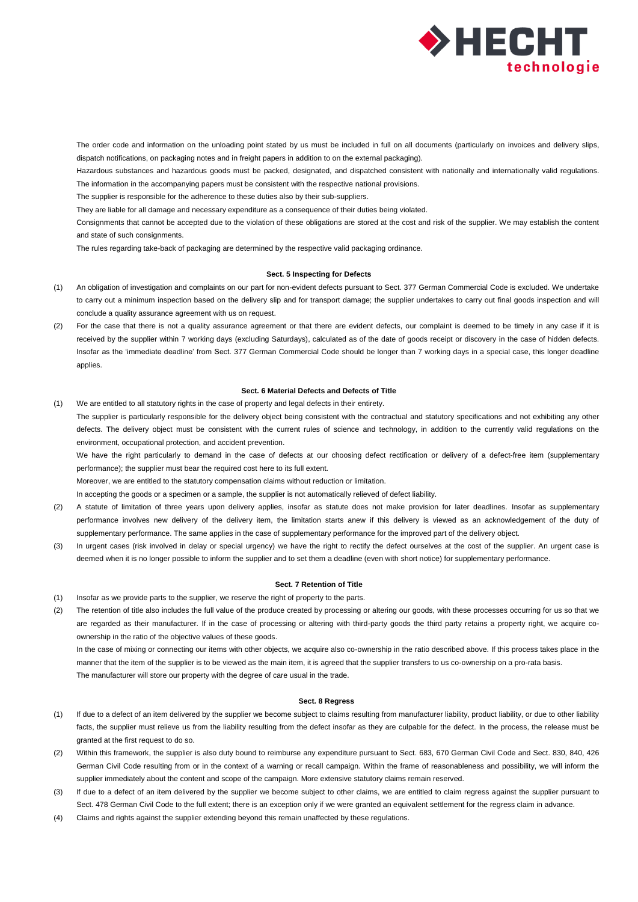

The order code and information on the unloading point stated by us must be included in full on all documents (particularly on invoices and delivery slips, dispatch notifications, on packaging notes and in freight papers in addition to on the external packaging).

Hazardous substances and hazardous goods must be packed, designated, and dispatched consistent with nationally and internationally valid regulations. The information in the accompanying papers must be consistent with the respective national provisions.

The supplier is responsible for the adherence to these duties also by their sub-suppliers.

They are liable for all damage and necessary expenditure as a consequence of their duties being violated.

Consignments that cannot be accepted due to the violation of these obligations are stored at the cost and risk of the supplier. We may establish the content and state of such consignments.

The rules regarding take-back of packaging are determined by the respective valid packaging ordinance.

# **Sect. 5 Inspecting for Defects**

- (1) An obligation of investigation and complaints on our part for non-evident defects pursuant to Sect. 377 German Commercial Code is excluded. We undertake to carry out a minimum inspection based on the delivery slip and for transport damage; the supplier undertakes to carry out final goods inspection and will conclude a quality assurance agreement with us on request.
- (2) For the case that there is not a quality assurance agreement or that there are evident defects, our complaint is deemed to be timely in any case if it is received by the supplier within 7 working days (excluding Saturdays), calculated as of the date of goods receipt or discovery in the case of hidden defects. Insofar as the 'immediate deadline' from Sect. 377 German Commercial Code should be longer than 7 working days in a special case, this longer deadline applies.

## **Sect. 6 Material Defects and Defects of Title**

(1) We are entitled to all statutory rights in the case of property and legal defects in their entirety.

The supplier is particularly responsible for the delivery object being consistent with the contractual and statutory specifications and not exhibiting any other defects. The delivery object must be consistent with the current rules of science and technology, in addition to the currently valid regulations on the environment, occupational protection, and accident prevention.

We have the right particularly to demand in the case of defects at our choosing defect rectification or delivery of a defect-free item (supplementary performance); the supplier must bear the required cost here to its full extent.

Moreover, we are entitled to the statutory compensation claims without reduction or limitation.

In accepting the goods or a specimen or a sample, the supplier is not automatically relieved of defect liability.

- (2) A statute of limitation of three years upon delivery applies, insofar as statute does not make provision for later deadlines. Insofar as supplementary performance involves new delivery of the delivery item, the limitation starts anew if this delivery is viewed as an acknowledgement of the duty of supplementary performance. The same applies in the case of supplementary performance for the improved part of the delivery object.
- (3) In urgent cases (risk involved in delay or special urgency) we have the right to rectify the defect ourselves at the cost of the supplier. An urgent case is deemed when it is no longer possible to inform the supplier and to set them a deadline (even with short notice) for supplementary performance.

## **Sect. 7 Retention of Title**

- (1) Insofar as we provide parts to the supplier, we reserve the right of property to the parts.
- (2) The retention of title also includes the full value of the produce created by processing or altering our goods, with these processes occurring for us so that we are regarded as their manufacturer. If in the case of processing or altering with third-party goods the third party retains a property right, we acquire coownership in the ratio of the objective values of these goods.

In the case of mixing or connecting our items with other objects, we acquire also co-ownership in the ratio described above. If this process takes place in the manner that the item of the supplier is to be viewed as the main item, it is agreed that the supplier transfers to us co-ownership on a pro-rata basis. The manufacturer will store our property with the degree of care usual in the trade.

#### **Sect. 8 Regress**

- (1) If due to a defect of an item delivered by the supplier we become subject to claims resulting from manufacturer liability, product liability, or due to other liability facts, the supplier must relieve us from the liability resulting from the defect insofar as they are culpable for the defect. In the process, the release must be granted at the first request to do so.
- (2) Within this framework, the supplier is also duty bound to reimburse any expenditure pursuant to Sect. 683, 670 German Civil Code and Sect. 830, 840, 426 German Civil Code resulting from or in the context of a warning or recall campaign. Within the frame of reasonableness and possibility, we will inform the supplier immediately about the content and scope of the campaign. More extensive statutory claims remain reserved.
- (3) If due to a defect of an item delivered by the supplier we become subject to other claims, we are entitled to claim regress against the supplier pursuant to Sect. 478 German Civil Code to the full extent; there is an exception only if we were granted an equivalent settlement for the regress claim in advance.
- (4) Claims and rights against the supplier extending beyond this remain unaffected by these regulations.